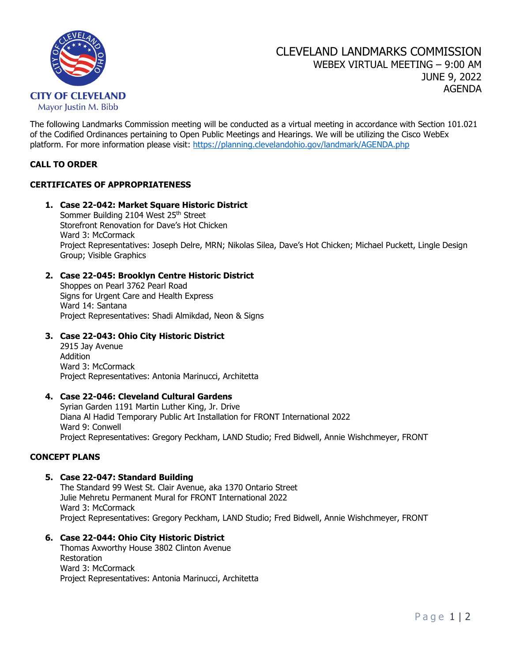

The following Landmarks Commission meeting will be conducted as a virtual meeting in accordance with Section 101.021 of the Codified Ordinances pertaining to Open Public Meetings and Hearings. We will be utilizing the Cisco WebEx platform. For more information please visit: <https://planning.clevelandohio.gov/landmark/AGENDA.php>

## **CALL TO ORDER**

# **CERTIFICATES OF APPROPRIATENESS**

**1. Case 22-042: Market Square Historic District** Sommer Building 2104 West 25<sup>th</sup> Street Storefront Renovation for Dave's Hot Chicken Ward 3: McCormack Project Representatives: Joseph Delre, MRN; Nikolas Silea, Dave's Hot Chicken; Michael Puckett, Lingle Design Group; Visible Graphics

### **2. Case 22-045: Brooklyn Centre Historic District**

Shoppes on Pearl 3762 Pearl Road Signs for Urgent Care and Health Express Ward 14: Santana Project Representatives: Shadi Almikdad, Neon & Signs

### **3. Case 22-043: Ohio City Historic District**

2915 Jay Avenue Addition Ward 3: McCormack Project Representatives: Antonia Marinucci, Architetta

#### **4. Case 22-046: Cleveland Cultural Gardens**

Syrian Garden 1191 Martin Luther King, Jr. Drive Diana Al Hadid Temporary Public Art Installation for FRONT International 2022 Ward 9: Conwell Project Representatives: Gregory Peckham, LAND Studio; Fred Bidwell, Annie Wishchmeyer, FRONT

### **CONCEPT PLANS**

#### **5. Case 22-047: Standard Building**

The Standard 99 West St. Clair Avenue, aka 1370 Ontario Street Julie Mehretu Permanent Mural for FRONT International 2022 Ward 3: McCormack Project Representatives: Gregory Peckham, LAND Studio; Fred Bidwell, Annie Wishchmeyer, FRONT

### **6. Case 22-044: Ohio City Historic District**

Thomas Axworthy House 3802 Clinton Avenue Restoration Ward 3: McCormack Project Representatives: Antonia Marinucci, Architetta